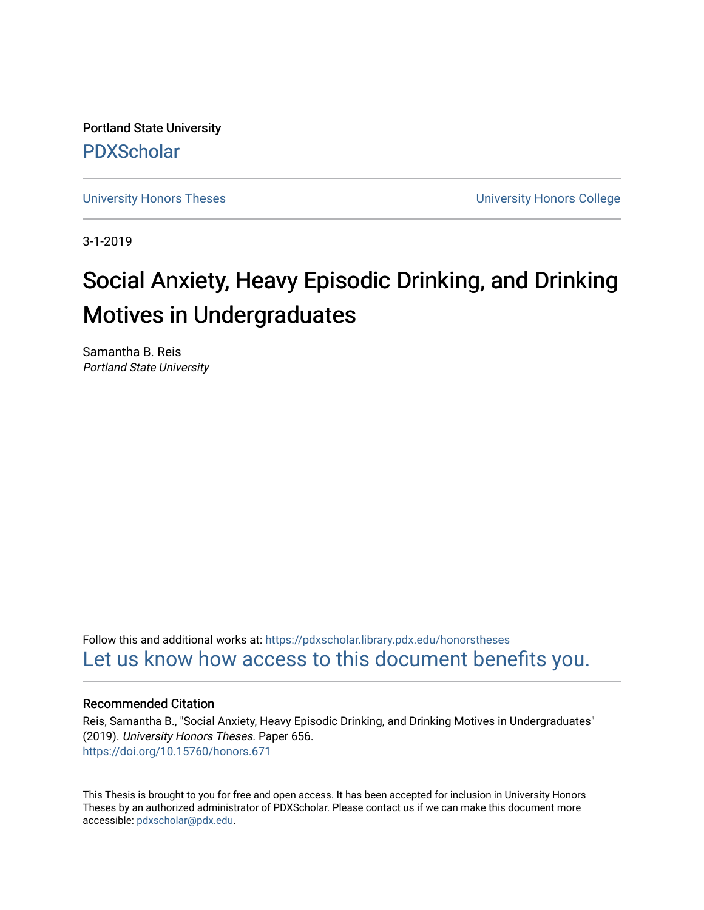Portland State University [PDXScholar](https://pdxscholar.library.pdx.edu/)

[University Honors Theses](https://pdxscholar.library.pdx.edu/honorstheses) [University Honors College](https://pdxscholar.library.pdx.edu/honors) 

3-1-2019

# Social Anxiety, Heavy Episodic Drinking, and Drinking Motives in Undergraduates

Samantha B. Reis Portland State University

Follow this and additional works at: [https://pdxscholar.library.pdx.edu/honorstheses](https://pdxscholar.library.pdx.edu/honorstheses?utm_source=pdxscholar.library.pdx.edu%2Fhonorstheses%2F656&utm_medium=PDF&utm_campaign=PDFCoverPages)  [Let us know how access to this document benefits you.](http://library.pdx.edu/services/pdxscholar-services/pdxscholar-feedback/) 

### Recommended Citation

Reis, Samantha B., "Social Anxiety, Heavy Episodic Drinking, and Drinking Motives in Undergraduates" (2019). University Honors Theses. Paper 656. <https://doi.org/10.15760/honors.671>

This Thesis is brought to you for free and open access. It has been accepted for inclusion in University Honors Theses by an authorized administrator of PDXScholar. Please contact us if we can make this document more accessible: [pdxscholar@pdx.edu.](mailto:pdxscholar@pdx.edu)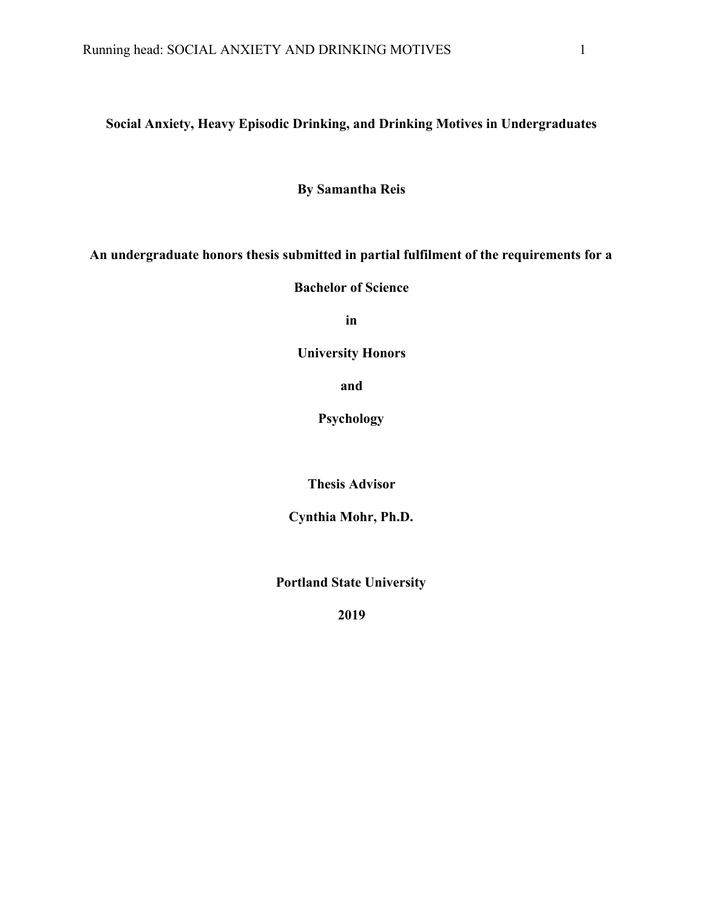# **Social Anxiety, Heavy Episodic Drinking, and Drinking Motives in Undergraduates**

**By Samantha Reis**

**An undergraduate honors thesis submitted in partial fulfilment of the requirements for a**

**Bachelor of Science**

**in**

**University Honors**

**and**

**Psychology**

**Thesis Advisor**

**Cynthia Mohr, Ph.D.**

**Portland State University**

**2019**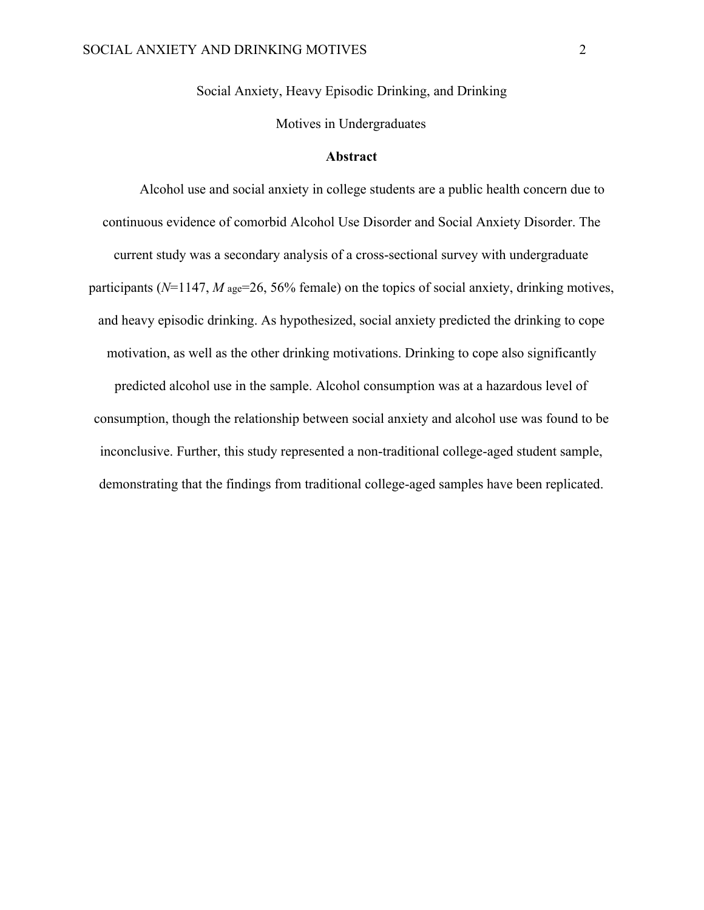Social Anxiety, Heavy Episodic Drinking, and Drinking

Motives in Undergraduates

#### **Abstract**

Alcohol use and social anxiety in college students are a public health concern due to continuous evidence of comorbid Alcohol Use Disorder and Social Anxiety Disorder. The current study was a secondary analysis of a cross-sectional survey with undergraduate participants ( $N=1147$ ,  $M$  age=26, 56% female) on the topics of social anxiety, drinking motives, and heavy episodic drinking. As hypothesized, social anxiety predicted the drinking to cope motivation, as well as the other drinking motivations. Drinking to cope also significantly predicted alcohol use in the sample. Alcohol consumption was at a hazardous level of consumption, though the relationship between social anxiety and alcohol use was found to be inconclusive. Further, this study represented a non-traditional college-aged student sample, demonstrating that the findings from traditional college-aged samples have been replicated.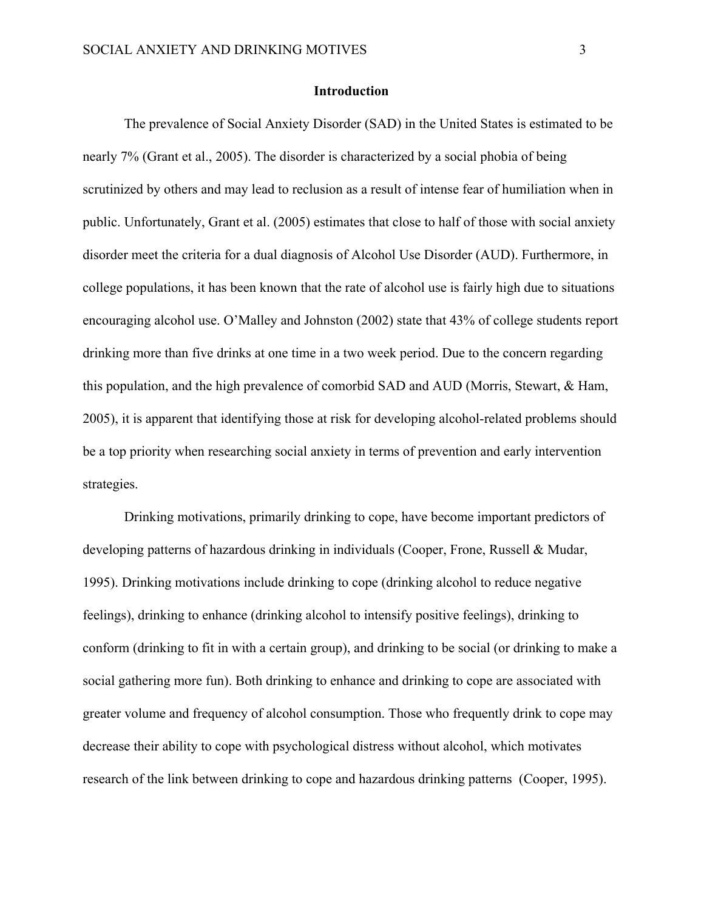#### **Introduction**

The prevalence of Social Anxiety Disorder (SAD) in the United States is estimated to be nearly 7% (Grant et al., 2005). The disorder is characterized by a social phobia of being scrutinized by others and may lead to reclusion as a result of intense fear of humiliation when in public. Unfortunately, Grant et al. (2005) estimates that close to half of those with social anxiety disorder meet the criteria for a dual diagnosis of Alcohol Use Disorder (AUD). Furthermore, in college populations, it has been known that the rate of alcohol use is fairly high due to situations encouraging alcohol use. O'Malley and Johnston (2002) state that 43% of college students report drinking more than five drinks at one time in a two week period. Due to the concern regarding this population, and the high prevalence of comorbid SAD and AUD (Morris, Stewart, & Ham, 2005), it is apparent that identifying those at risk for developing alcohol-related problems should be a top priority when researching social anxiety in terms of prevention and early intervention strategies.

Drinking motivations, primarily drinking to cope, have become important predictors of developing patterns of hazardous drinking in individuals (Cooper, Frone, Russell & Mudar, 1995). Drinking motivations include drinking to cope (drinking alcohol to reduce negative feelings), drinking to enhance (drinking alcohol to intensify positive feelings), drinking to conform (drinking to fit in with a certain group), and drinking to be social (or drinking to make a social gathering more fun). Both drinking to enhance and drinking to cope are associated with greater volume and frequency of alcohol consumption. Those who frequently drink to cope may decrease their ability to cope with psychological distress without alcohol, which motivates research of the link between drinking to cope and hazardous drinking patterns (Cooper, 1995).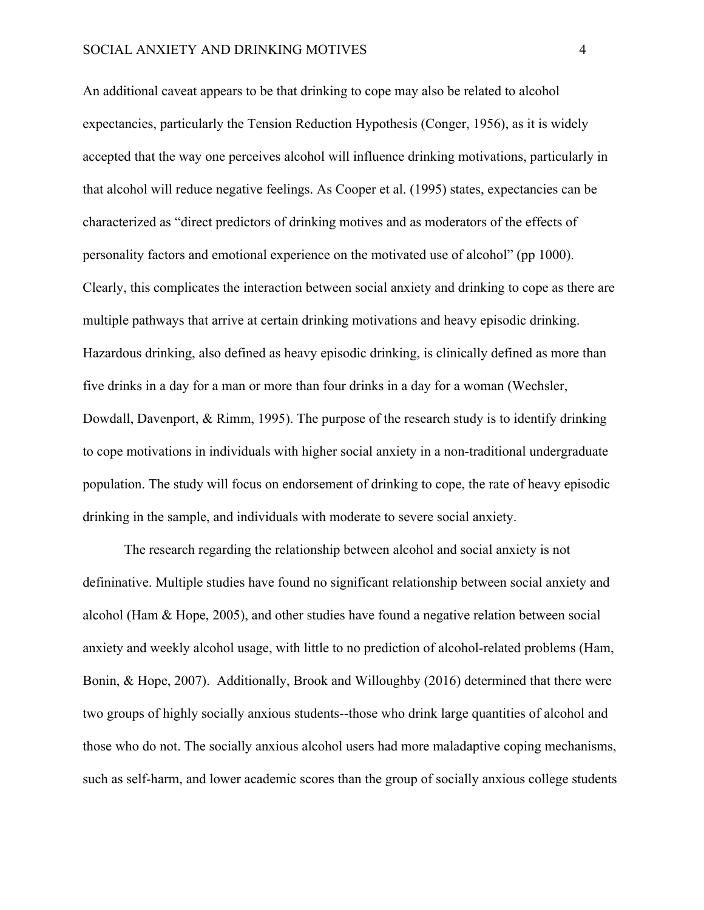An additional caveat appears to be that drinking to cope may also be related to alcohol expectancies, particularly the Tension Reduction Hypothesis (Conger, 1956), as it is widely accepted that the way one perceives alcohol will influence drinking motivations, particularly in that alcohol will reduce negative feelings. As Cooper et al. (1995) states, expectancies can be characterized as "direct predictors of drinking motives and as moderators of the effects of personality factors and emotional experience on the motivated use of alcohol" (pp 1000). Clearly, this complicates the interaction between social anxiety and drinking to cope as there are multiple pathways that arrive at certain drinking motivations and heavy episodic drinking. Hazardous drinking, also defined as heavy episodic drinking, is clinically defined as more than five drinks in a day for a man or more than four drinks in a day for a woman (Wechsler, Dowdall, Davenport, & Rimm, 1995). The purpose of the research study is to identify drinking to cope motivations in individuals with higher social anxiety in a non-traditional undergraduate population. The study will focus on endorsement of drinking to cope, the rate of heavy episodic drinking in the sample, and individuals with moderate to severe social anxiety.

The research regarding the relationship between alcohol and social anxiety is not defininative. Multiple studies have found no significant relationship between social anxiety and alcohol (Ham & Hope, 2005), and other studies have found a negative relation between social anxiety and weekly alcohol usage, with little to no prediction of alcohol-related problems (Ham, Bonin, & Hope, 2007). Additionally, Brook and Willoughby (2016) determined that there were two groups of highly socially anxious students--those who drink large quantities of alcohol and those who do not. The socially anxious alcohol users had more maladaptive coping mechanisms, such as self-harm, and lower academic scores than the group of socially anxious college students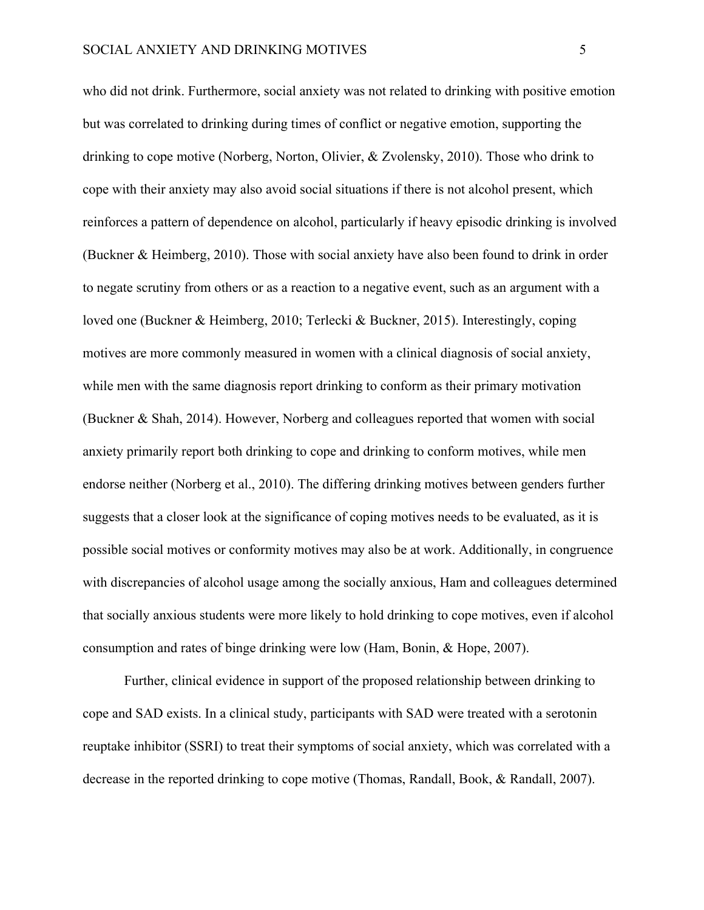who did not drink. Furthermore, social anxiety was not related to drinking with positive emotion but was correlated to drinking during times of conflict or negative emotion, supporting the drinking to cope motive (Norberg, Norton, Olivier, & Zvolensky, 2010). Those who drink to cope with their anxiety may also avoid social situations if there is not alcohol present, which reinforces a pattern of dependence on alcohol, particularly if heavy episodic drinking is involved (Buckner & Heimberg, 2010). Those with social anxiety have also been found to drink in order to negate scrutiny from others or as a reaction to a negative event, such as an argument with a loved one (Buckner & Heimberg, 2010; Terlecki & Buckner, 2015). Interestingly, coping motives are more commonly measured in women with a clinical diagnosis of social anxiety, while men with the same diagnosis report drinking to conform as their primary motivation (Buckner & Shah, 2014). However, Norberg and colleagues reported that women with social anxiety primarily report both drinking to cope and drinking to conform motives, while men endorse neither (Norberg et al., 2010). The differing drinking motives between genders further suggests that a closer look at the significance of coping motives needs to be evaluated, as it is possible social motives or conformity motives may also be at work. Additionally, in congruence with discrepancies of alcohol usage among the socially anxious, Ham and colleagues determined that socially anxious students were more likely to hold drinking to cope motives, even if alcohol consumption and rates of binge drinking were low (Ham, Bonin, & Hope, 2007).

Further, clinical evidence in support of the proposed relationship between drinking to cope and SAD exists. In a clinical study, participants with SAD were treated with a serotonin reuptake inhibitor (SSRI) to treat their symptoms of social anxiety, which was correlated with a decrease in the reported drinking to cope motive (Thomas, Randall, Book, & Randall, 2007).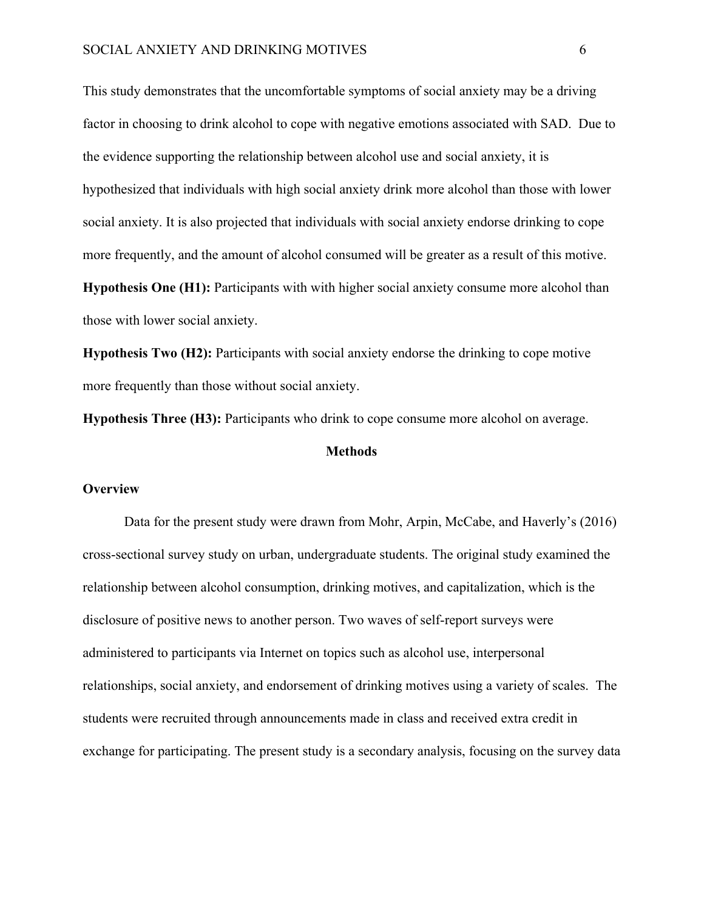This study demonstrates that the uncomfortable symptoms of social anxiety may be a driving factor in choosing to drink alcohol to cope with negative emotions associated with SAD. Due to the evidence supporting the relationship between alcohol use and social anxiety, it is hypothesized that individuals with high social anxiety drink more alcohol than those with lower social anxiety. It is also projected that individuals with social anxiety endorse drinking to cope more frequently, and the amount of alcohol consumed will be greater as a result of this motive. **Hypothesis One (H1):** Participants with with higher social anxiety consume more alcohol than

those with lower social anxiety.

**Hypothesis Two (H2):** Participants with social anxiety endorse the drinking to cope motive more frequently than those without social anxiety.

**Hypothesis Three (H3):** Participants who drink to cope consume more alcohol on average.

#### **Methods**

# **Overview**

Data for the present study were drawn from Mohr, Arpin, McCabe, and Haverly's (2016) cross-sectional survey study on urban, undergraduate students. The original study examined the relationship between alcohol consumption, drinking motives, and capitalization, which is the disclosure of positive news to another person. Two waves of self-report surveys were administered to participants via Internet on topics such as alcohol use, interpersonal relationships, social anxiety, and endorsement of drinking motives using a variety of scales. The students were recruited through announcements made in class and received extra credit in exchange for participating. The present study is a secondary analysis, focusing on the survey data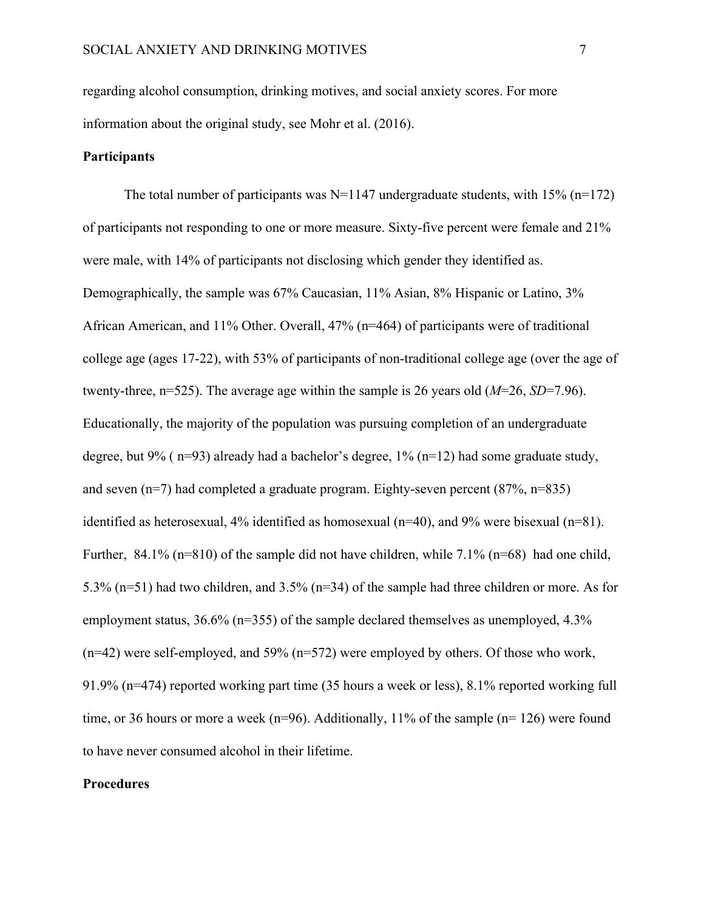regarding alcohol consumption, drinking motives, and social anxiety scores. For more information about the original study, see Mohr et al. (2016).

## **Participants**

The total number of participants was  $N=1147$  undergraduate students, with  $15\%$  (n=172) of participants not responding to one or more measure. Sixty-five percent were female and 21% were male, with 14% of participants not disclosing which gender they identified as. Demographically, the sample was 67% Caucasian, 11% Asian, 8% Hispanic or Latino, 3% African American, and 11% Other. Overall, 47% (n=464) of participants were of traditional college age (ages 17-22), with 53% of participants of non-traditional college age (over the age of twenty-three, n=525). The average age within the sample is 26 years old (*M*=26, *SD*=7.96). Educationally, the majority of the population was pursuing completion of an undergraduate degree, but 9% ( $n=93$ ) already had a bachelor's degree, 1% ( $n=12$ ) had some graduate study, and seven (n=7) had completed a graduate program. Eighty-seven percent (87%, n=835) identified as heterosexual,  $4\%$  identified as homosexual (n=40), and  $9\%$  were bisexual (n=81). Further,  $84.1\%$  (n=810) of the sample did not have children, while 7.1% (n=68) had one child, 5.3% (n=51) had two children, and 3.5% (n=34) of the sample had three children or more. As for employment status, 36.6% (n=355) of the sample declared themselves as unemployed, 4.3% (n=42) were self-employed, and 59% (n=572) were employed by others. Of those who work, 91.9% (n=474) reported working part time (35 hours a week or less), 8.1% reported working full time, or 36 hours or more a week (n=96). Additionally, 11% of the sample (n= 126) were found to have never consumed alcohol in their lifetime.

# **Procedures**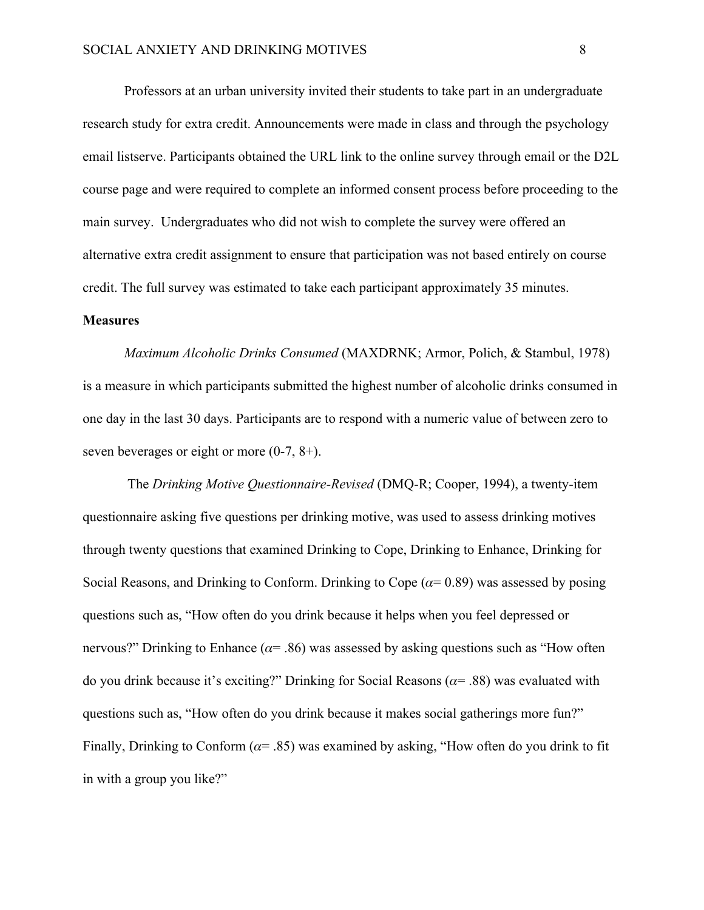Professors at an urban university invited their students to take part in an undergraduate research study for extra credit. Announcements were made in class and through the psychology email listserve. Participants obtained the URL link to the online survey through email or the D2L course page and were required to complete an informed consent process before proceeding to the main survey. Undergraduates who did not wish to complete the survey were offered an alternative extra credit assignment to ensure that participation was not based entirely on course credit. The full survey was estimated to take each participant approximately 35 minutes.

#### **Measures**

*Maximum Alcoholic Drinks Consumed* (MAXDRNK; Armor, Polich, & Stambul, 1978) is a measure in which participants submitted the highest number of alcoholic drinks consumed in one day in the last 30 days. Participants are to respond with a numeric value of between zero to seven beverages or eight or more (0-7, 8+).

 The *Drinking Motive Questionnaire-Revised* (DMQ-R; Cooper, 1994), a twenty-item questionnaire asking five questions per drinking motive, was used to assess drinking motives through twenty questions that examined Drinking to Cope, Drinking to Enhance, Drinking for Social Reasons, and Drinking to Conform. Drinking to Cope ( $\alpha$ = 0.89) was assessed by posing questions such as, "How often do you drink because it helps when you feel depressed or nervous?" Drinking to Enhance ( $\alpha$ = .86) was assessed by asking questions such as "How often do you drink because it's exciting?" Drinking for Social Reasons ( $\alpha$ = .88) was evaluated with questions such as, "How often do you drink because it makes social gatherings more fun?" Finally, Drinking to Conform ( $\alpha$ = .85) was examined by asking, "How often do you drink to fit in with a group you like?"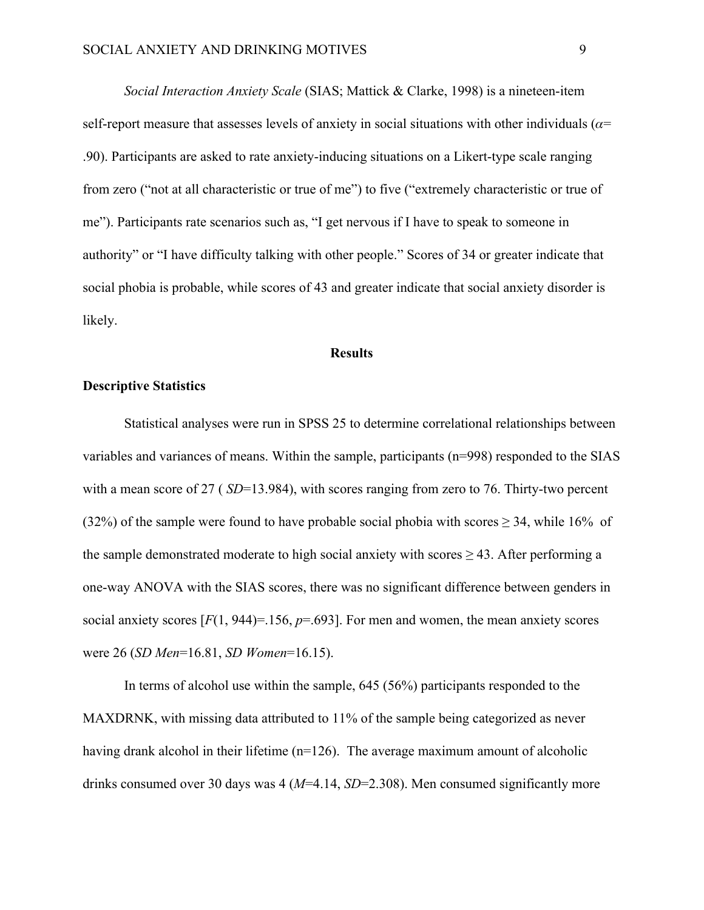*Social Interaction Anxiety Scale* (SIAS; Mattick & Clarke, 1998) is a nineteen-item self-report measure that assesses levels of anxiety in social situations with other individuals ( $\alpha$ = .90). Participants are asked to rate anxiety-inducing situations on a Likert-type scale ranging from zero ("not at all characteristic or true of me") to five ("extremely characteristic or true of me"). Participants rate scenarios such as, "I get nervous if I have to speak to someone in authority" or "I have difficulty talking with other people." Scores of 34 or greater indicate that social phobia is probable, while scores of 43 and greater indicate that social anxiety disorder is likely.

#### **Results**

# **Descriptive Statistics**

Statistical analyses were run in SPSS 25 to determine correlational relationships between variables and variances of means. Within the sample, participants (n=998) responded to the SIAS with a mean score of 27 (*SD*=13.984), with scores ranging from zero to 76. Thirty-two percent (32%) of the sample were found to have probable social phobia with scores  $\geq$  34, while 16% of the sample demonstrated moderate to high social anxiety with scores  $\geq$  43. After performing a one-way ANOVA with the SIAS scores, there was no significant difference between genders in social anxiety scores  $[F(1, 944)=156, p=.693]$ . For men and women, the mean anxiety scores were 26 (*SD Men*=16.81, *SD Women*=16.15).

In terms of alcohol use within the sample, 645 (56%) participants responded to the MAXDRNK, with missing data attributed to 11% of the sample being categorized as never having drank alcohol in their lifetime  $(n=126)$ . The average maximum amount of alcoholic drinks consumed over 30 days was 4 (*M*=4.14, *SD*=2.308). Men consumed significantly more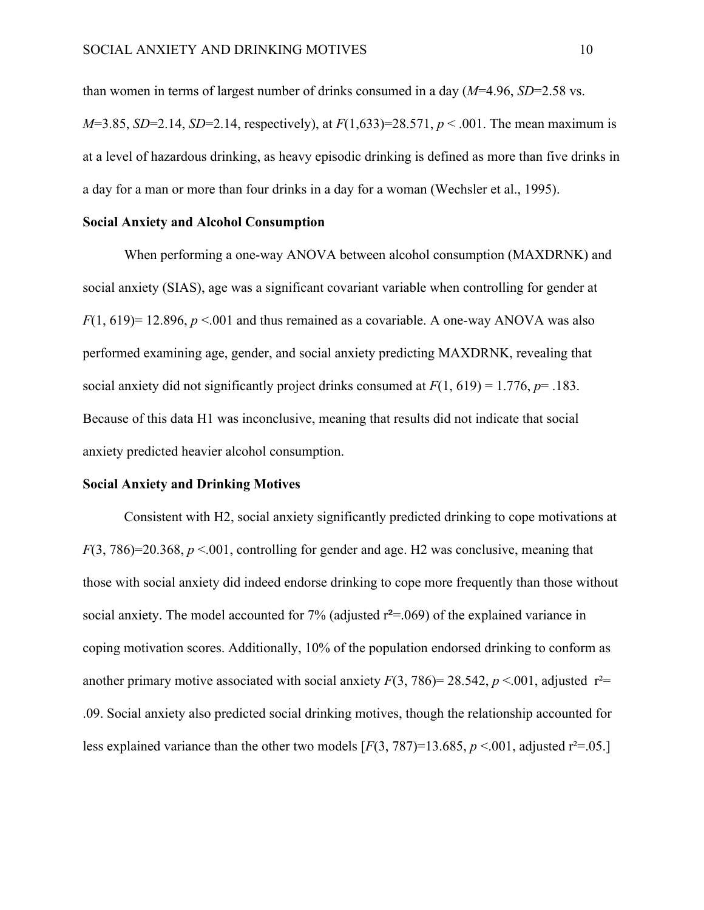than women in terms of largest number of drinks consumed in a day (*M*=4.96, *SD*=2.58 vs. *M*=3.85, *SD*=2.14, *SD*=2.14, respectively), at *F*(1,633)=28.571, *p* < .001. The mean maximum is at a level of hazardous drinking, as heavy episodic drinking is defined as more than five drinks in a day for a man or more than four drinks in a day for a woman (Wechsler et al., 1995).

# **Social Anxiety and Alcohol Consumption**

When performing a one-way ANOVA between alcohol consumption (MAXDRNK) and social anxiety (SIAS), age was a significant covariant variable when controlling for gender at  $F(1, 619)$ = 12.896,  $p \le 0.001$  and thus remained as a covariable. A one-way ANOVA was also performed examining age, gender, and social anxiety predicting MAXDRNK, revealing that social anxiety did not significantly project drinks consumed at *F*(1, 619) = 1.776, *p*= .183. Because of this data H1 was inconclusive, meaning that results did not indicate that social anxiety predicted heavier alcohol consumption.

# **Social Anxiety and Drinking Motives**

Consistent with H2, social anxiety significantly predicted drinking to cope motivations at  $F(3, 786)=20.368$ ,  $p < 0.01$ , controlling for gender and age. H<sub>2</sub> was conclusive, meaning that those with social anxiety did indeed endorse drinking to cope more frequently than those without social anxiety. The model accounted for  $7\%$  (adjusted  $r^2 = .069$ ) of the explained variance in coping motivation scores. Additionally, 10% of the population endorsed drinking to conform as another primary motive associated with social anxiety  $F(3, 786) = 28.542$ ,  $p < 0.01$ , adjusted  $r^2 =$ .09. Social anxiety also predicted social drinking motives, though the relationship accounted for less explained variance than the other two models  $[F(3, 787)=13.685, p \le 0.001,$  adjusted  $r^2 = .05$ .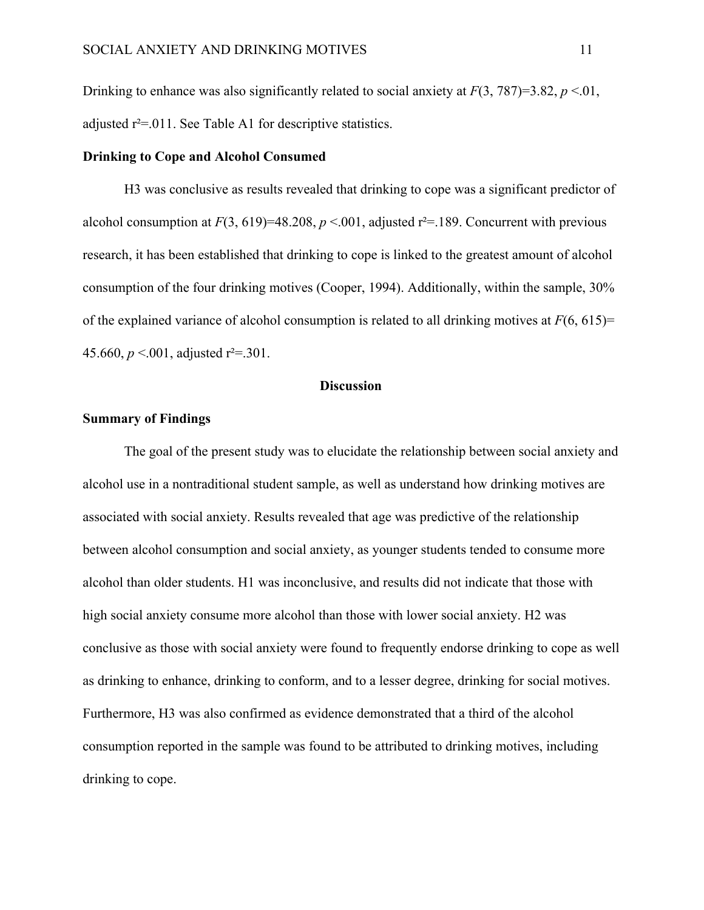Drinking to enhance was also significantly related to social anxiety at  $F(3, 787)=3.82$ ,  $p < 0.01$ , adjusted  $r^2$ =.011. See Table A1 for descriptive statistics.

#### **Drinking to Cope and Alcohol Consumed**

H3 was conclusive as results revealed that drinking to cope was a significant predictor of alcohol consumption at  $F(3, 619)=48.208$ ,  $p < .001$ , adjusted  $r^2 = .189$ . Concurrent with previous research, it has been established that drinking to cope is linked to the greatest amount of alcohol consumption of the four drinking motives (Cooper, 1994). Additionally, within the sample, 30% of the explained variance of alcohol consumption is related to all drinking motives at  $F(6, 615)$ = 45.660,  $p < 0.001$ , adjusted r<sup>2</sup>= 301.

# **Discussion**

#### **Summary of Findings**

The goal of the present study was to elucidate the relationship between social anxiety and alcohol use in a nontraditional student sample, as well as understand how drinking motives are associated with social anxiety. Results revealed that age was predictive of the relationship between alcohol consumption and social anxiety, as younger students tended to consume more alcohol than older students. H1 was inconclusive, and results did not indicate that those with high social anxiety consume more alcohol than those with lower social anxiety. H2 was conclusive as those with social anxiety were found to frequently endorse drinking to cope as well as drinking to enhance, drinking to conform, and to a lesser degree, drinking for social motives. Furthermore, H3 was also confirmed as evidence demonstrated that a third of the alcohol consumption reported in the sample was found to be attributed to drinking motives, including drinking to cope.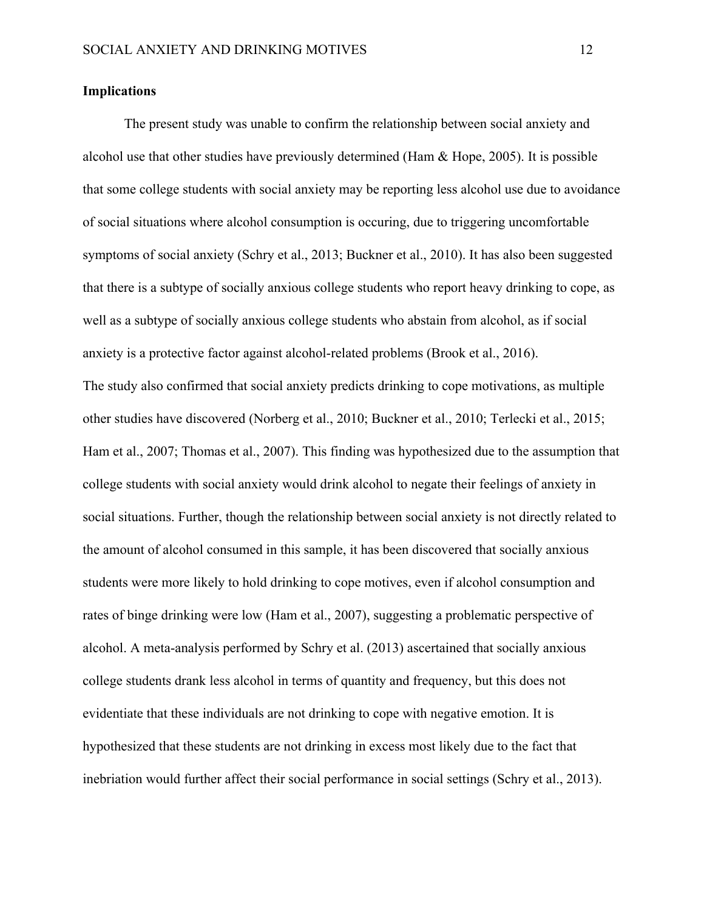## **Implications**

The present study was unable to confirm the relationship between social anxiety and alcohol use that other studies have previously determined (Ham & Hope, 2005). It is possible that some college students with social anxiety may be reporting less alcohol use due to avoidance of social situations where alcohol consumption is occuring, due to triggering uncomfortable symptoms of social anxiety (Schry et al., 2013; Buckner et al., 2010). It has also been suggested that there is a subtype of socially anxious college students who report heavy drinking to cope, as well as a subtype of socially anxious college students who abstain from alcohol, as if social anxiety is a protective factor against alcohol-related problems (Brook et al., 2016). The study also confirmed that social anxiety predicts drinking to cope motivations, as multiple other studies have discovered (Norberg et al., 2010; Buckner et al., 2010; Terlecki et al., 2015; Ham et al., 2007; Thomas et al., 2007). This finding was hypothesized due to the assumption that college students with social anxiety would drink alcohol to negate their feelings of anxiety in social situations. Further, though the relationship between social anxiety is not directly related to the amount of alcohol consumed in this sample, it has been discovered that socially anxious students were more likely to hold drinking to cope motives, even if alcohol consumption and rates of binge drinking were low (Ham et al., 2007), suggesting a problematic perspective of alcohol. A meta-analysis performed by Schry et al. (2013) ascertained that socially anxious college students drank less alcohol in terms of quantity and frequency, but this does not evidentiate that these individuals are not drinking to cope with negative emotion. It is hypothesized that these students are not drinking in excess most likely due to the fact that inebriation would further affect their social performance in social settings (Schry et al., 2013).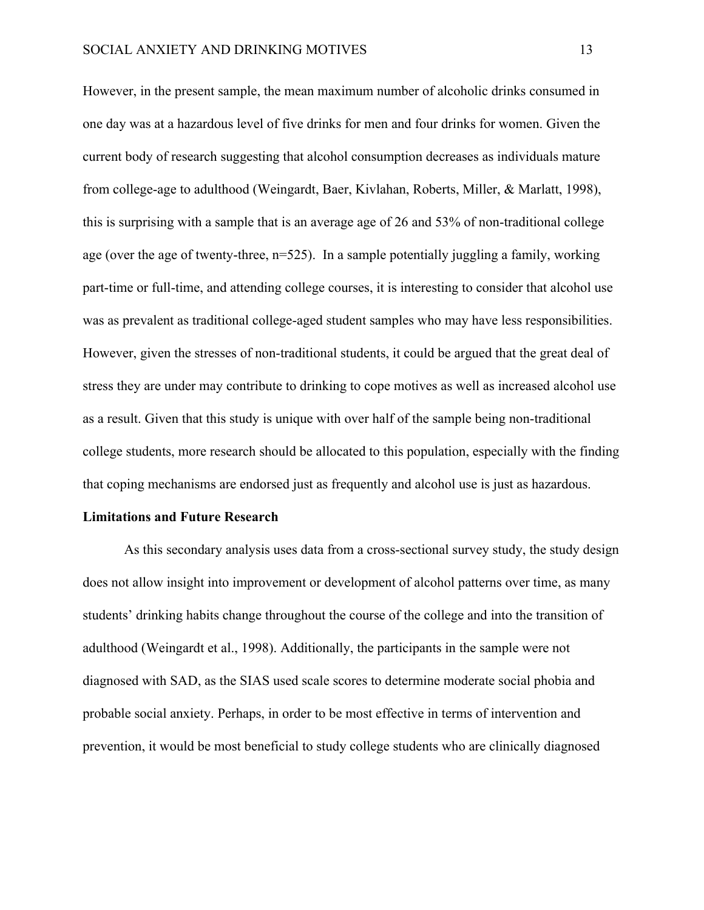However, in the present sample, the mean maximum number of alcoholic drinks consumed in one day was at a hazardous level of five drinks for men and four drinks for women. Given the current body of research suggesting that alcohol consumption decreases as individuals mature from college-age to adulthood (Weingardt, Baer, Kivlahan, Roberts, Miller, & Marlatt, 1998), this is surprising with a sample that is an average age of 26 and 53% of non-traditional college age (over the age of twenty-three, n=525). In a sample potentially juggling a family, working part-time or full-time, and attending college courses, it is interesting to consider that alcohol use was as prevalent as traditional college-aged student samples who may have less responsibilities. However, given the stresses of non-traditional students, it could be argued that the great deal of stress they are under may contribute to drinking to cope motives as well as increased alcohol use as a result. Given that this study is unique with over half of the sample being non-traditional college students, more research should be allocated to this population, especially with the finding that coping mechanisms are endorsed just as frequently and alcohol use is just as hazardous.

#### **Limitations and Future Research**

As this secondary analysis uses data from a cross-sectional survey study, the study design does not allow insight into improvement or development of alcohol patterns over time, as many students' drinking habits change throughout the course of the college and into the transition of adulthood (Weingardt et al., 1998). Additionally, the participants in the sample were not diagnosed with SAD, as the SIAS used scale scores to determine moderate social phobia and probable social anxiety. Perhaps, in order to be most effective in terms of intervention and prevention, it would be most beneficial to study college students who are clinically diagnosed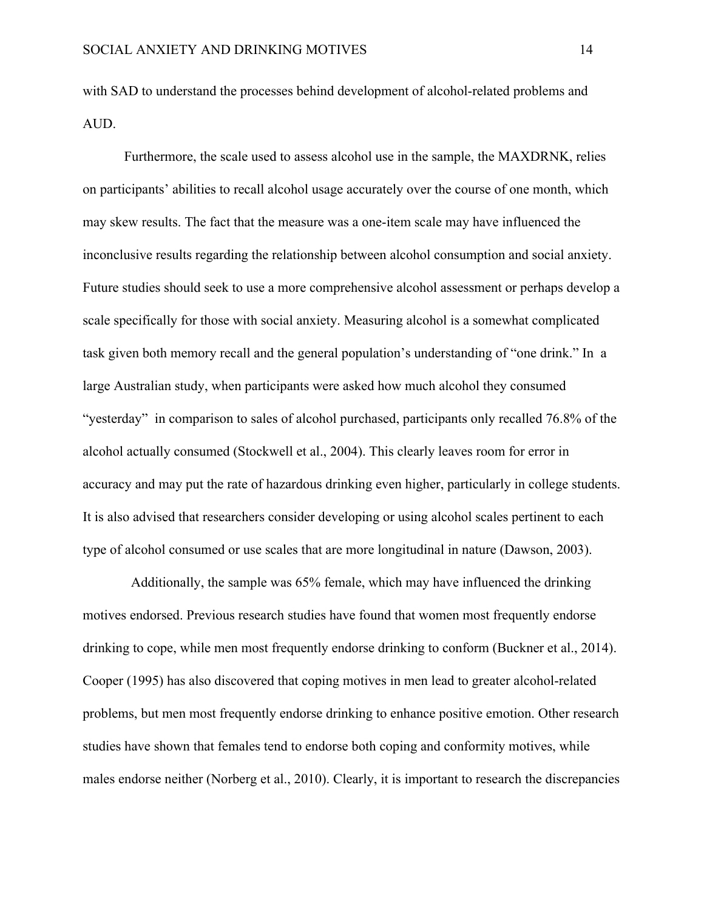with SAD to understand the processes behind development of alcohol-related problems and AUD.

Furthermore, the scale used to assess alcohol use in the sample, the MAXDRNK, relies on participants' abilities to recall alcohol usage accurately over the course of one month, which may skew results. The fact that the measure was a one-item scale may have influenced the inconclusive results regarding the relationship between alcohol consumption and social anxiety. Future studies should seek to use a more comprehensive alcohol assessment or perhaps develop a scale specifically for those with social anxiety. Measuring alcohol is a somewhat complicated task given both memory recall and the general population's understanding of "one drink." In a large Australian study, when participants were asked how much alcohol they consumed "yesterday" in comparison to sales of alcohol purchased, participants only recalled 76.8% of the alcohol actually consumed (Stockwell et al., 2004). This clearly leaves room for error in accuracy and may put the rate of hazardous drinking even higher, particularly in college students. It is also advised that researchers consider developing or using alcohol scales pertinent to each type of alcohol consumed or use scales that are more longitudinal in nature (Dawson, 2003).

 Additionally, the sample was 65% female, which may have influenced the drinking motives endorsed. Previous research studies have found that women most frequently endorse drinking to cope, while men most frequently endorse drinking to conform (Buckner et al., 2014). Cooper (1995) has also discovered that coping motives in men lead to greater alcohol-related problems, but men most frequently endorse drinking to enhance positive emotion. Other research studies have shown that females tend to endorse both coping and conformity motives, while males endorse neither (Norberg et al., 2010). Clearly, it is important to research the discrepancies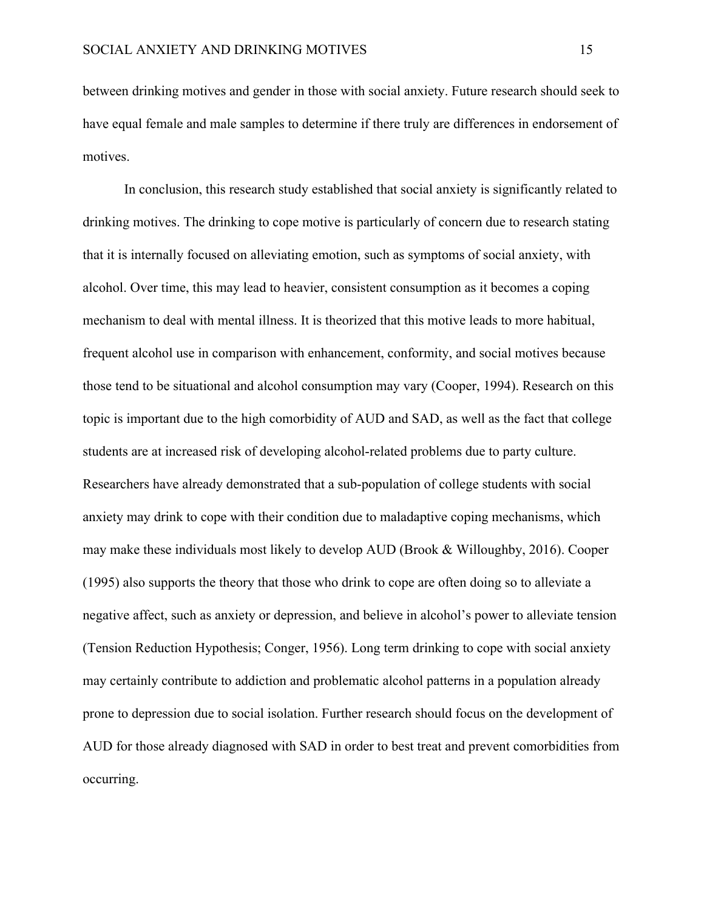between drinking motives and gender in those with social anxiety. Future research should seek to have equal female and male samples to determine if there truly are differences in endorsement of motives.

In conclusion, this research study established that social anxiety is significantly related to drinking motives. The drinking to cope motive is particularly of concern due to research stating that it is internally focused on alleviating emotion, such as symptoms of social anxiety, with alcohol. Over time, this may lead to heavier, consistent consumption as it becomes a coping mechanism to deal with mental illness. It is theorized that this motive leads to more habitual, frequent alcohol use in comparison with enhancement, conformity, and social motives because those tend to be situational and alcohol consumption may vary (Cooper, 1994). Research on this topic is important due to the high comorbidity of AUD and SAD, as well as the fact that college students are at increased risk of developing alcohol-related problems due to party culture. Researchers have already demonstrated that a sub-population of college students with social anxiety may drink to cope with their condition due to maladaptive coping mechanisms, which may make these individuals most likely to develop AUD (Brook & Willoughby, 2016). Cooper (1995) also supports the theory that those who drink to cope are often doing so to alleviate a negative affect, such as anxiety or depression, and believe in alcohol's power to alleviate tension (Tension Reduction Hypothesis; Conger, 1956). Long term drinking to cope with social anxiety may certainly contribute to addiction and problematic alcohol patterns in a population already prone to depression due to social isolation. Further research should focus on the development of AUD for those already diagnosed with SAD in order to best treat and prevent comorbidities from occurring.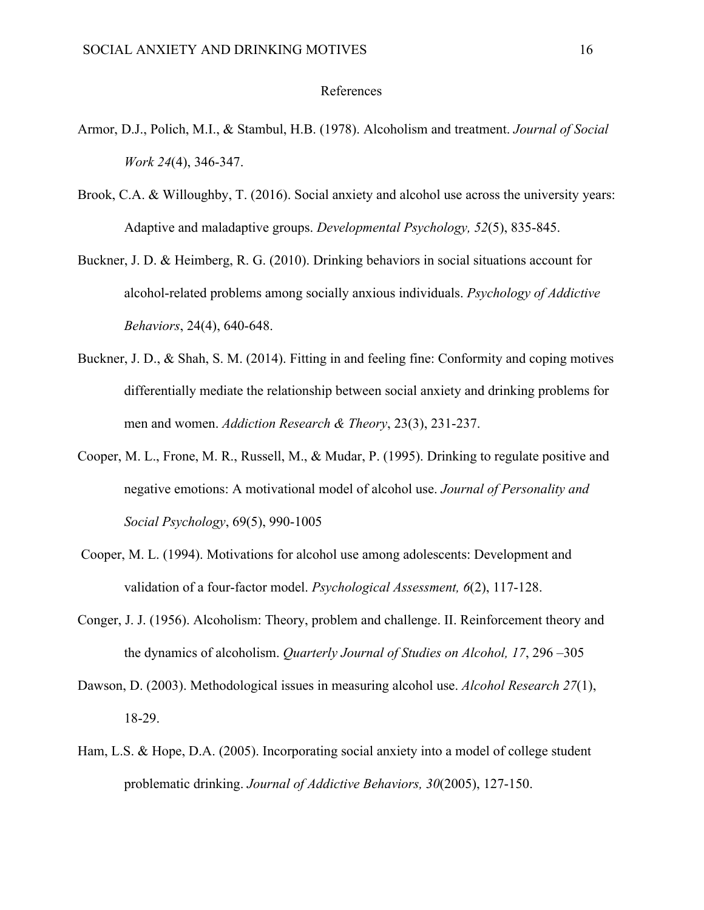#### References

- Armor, D.J., Polich, M.I., & Stambul, H.B. (1978). Alcoholism and treatment. *Journal of Social Work 24*(4), 346-347.
- Brook, C.A. & Willoughby, T. (2016). Social anxiety and alcohol use across the university years: Adaptive and maladaptive groups. *Developmental Psychology, 52*(5), 835-845.
- Buckner, J. D. & Heimberg, R. G. (2010). Drinking behaviors in social situations account for alcohol-related problems among socially anxious individuals. *Psychology of Addictive Behaviors*, 24(4), 640-648.
- Buckner, J. D., & Shah, S. M. (2014). Fitting in and feeling fine: Conformity and coping motives differentially mediate the relationship between social anxiety and drinking problems for men and women. *Addiction Research & Theory*, 23(3), 231-237.
- Cooper, M. L., Frone, M. R., Russell, M., & Mudar, P. (1995). Drinking to regulate positive and negative emotions: A motivational model of alcohol use. *Journal of Personality and Social Psychology*, 69(5), 990-1005
- Cooper, M. L. (1994). Motivations for alcohol use among adolescents: Development and validation of a four-factor model. *Psychological Assessment, 6*(2), 117-128.
- Conger, J. J. (1956). Alcoholism: Theory, problem and challenge. II. Reinforcement theory and the dynamics of alcoholism. *Quarterly Journal of Studies on Alcohol, 17*, 296 –305
- Dawson, D. (2003). Methodological issues in measuring alcohol use. *Alcohol Research 27*(1), 18-29.
- Ham, L.S. & Hope, D.A. (2005). Incorporating social anxiety into a model of college student problematic drinking. *Journal of Addictive Behaviors, 30*(2005), 127-150.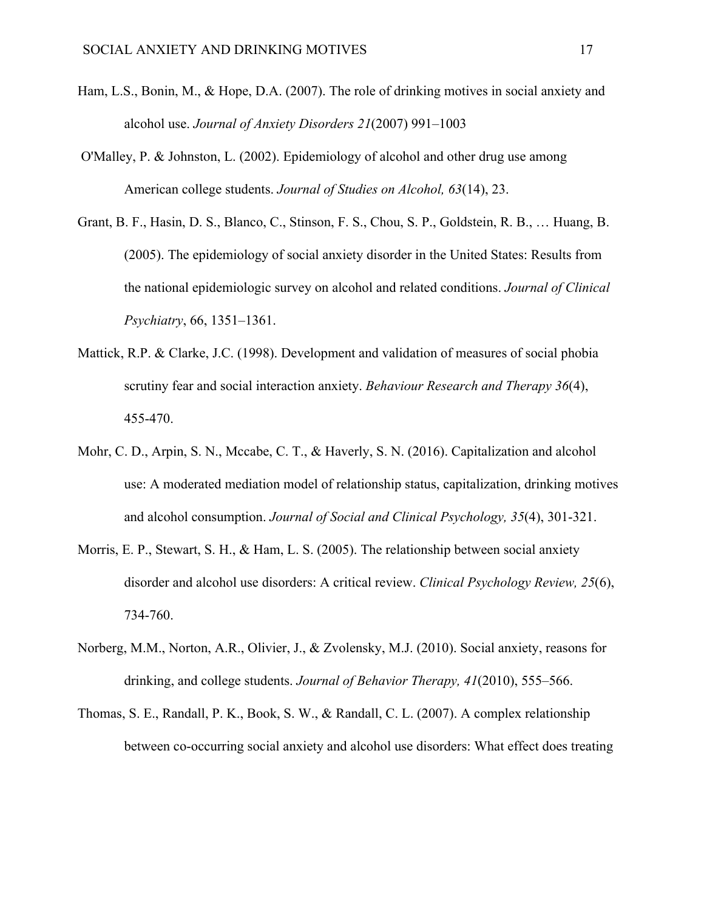- Ham, L.S., Bonin, M., & Hope, D.A. (2007). The role of drinking motives in social anxiety and alcohol use. *Journal of Anxiety Disorders 21*(2007) 991–1003
- O'Malley, P. & Johnston, L. (2002). Epidemiology of alcohol and other drug use among American college students. *Journal of Studies on Alcohol, 63*(14), 23.
- Grant, B. F., Hasin, D. S., Blanco, C., Stinson, F. S., Chou, S. P., Goldstein, R. B., … Huang, B. (2005). The epidemiology of social anxiety disorder in the United States: Results from the national epidemiologic survey on alcohol and related conditions. *Journal of Clinical Psychiatry*, 66, 1351–1361.
- Mattick, R.P. & Clarke, J.C. (1998). Development and validation of measures of social phobia scrutiny fear and social interaction anxiety. *Behaviour Research and Therapy 36*(4), 455-470.
- Mohr, C. D., Arpin, S. N., Mccabe, C. T., & Haverly, S. N. (2016). Capitalization and alcohol use: A moderated mediation model of relationship status, capitalization, drinking motives and alcohol consumption. *Journal of Social and Clinical Psychology, 35*(4), 301-321.
- Morris, E. P., Stewart, S. H., & Ham, L. S. (2005). The relationship between social anxiety disorder and alcohol use disorders: A critical review. *Clinical Psychology Review, 25*(6), 734-760.
- Norberg, M.M., Norton, A.R., Olivier, J., & Zvolensky, M.J. (2010). Social anxiety, reasons for drinking, and college students. *Journal of Behavior Therapy, 41*(2010), 555–566.
- Thomas, S. E., Randall, P. K., Book, S. W., & Randall, C. L. (2007). A complex relationship between co-occurring social anxiety and alcohol use disorders: What effect does treating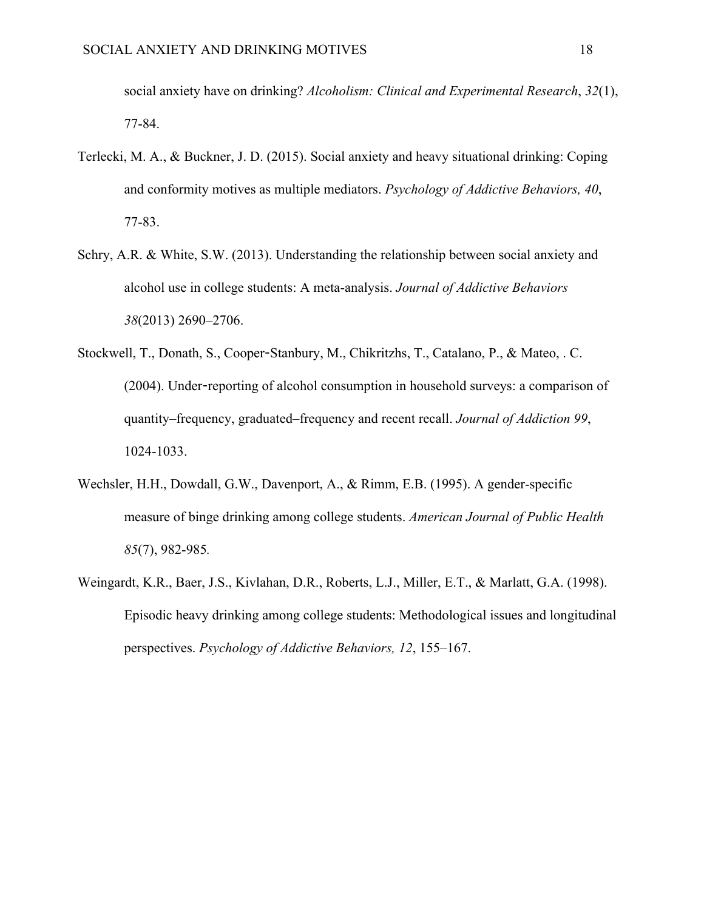social anxiety have on drinking? *Alcoholism: Clinical and Experimental Research*, *32*(1), 77-84.

- Terlecki, M. A., & Buckner, J. D. (2015). Social anxiety and heavy situational drinking: Coping and conformity motives as multiple mediators. *Psychology of Addictive Behaviors, 40*, 77-83.
- Schry, A.R. & White, S.W. (2013). Understanding the relationship between social anxiety and alcohol use in college students: A meta-analysis. *Journal of Addictive Behaviors 38*(2013) 2690–2706.
- Stockwell, T., Donath, S., Cooper-Stanbury, M., Chikritzhs, T., Catalano, P., & Mateo, . C. (2004). Under-reporting of alcohol consumption in household surveys: a comparison of quantity–frequency, graduated–frequency and recent recall. *Journal of Addiction 99*, 1024-1033.
- Wechsler, H.H., Dowdall, G.W., Davenport, A., & Rimm, E.B. (1995). A gender-specific measure of binge drinking among college students. *American Journal of Public Health 85*(7), 982-985*.*
- Weingardt, K.R., Baer, J.S., Kivlahan, D.R., Roberts, L.J., Miller, E.T., & Marlatt, G.A. (1998). Episodic heavy drinking among college students: Methodological issues and longitudinal perspectives. *Psychology of Addictive Behaviors, 12*, 155–167.